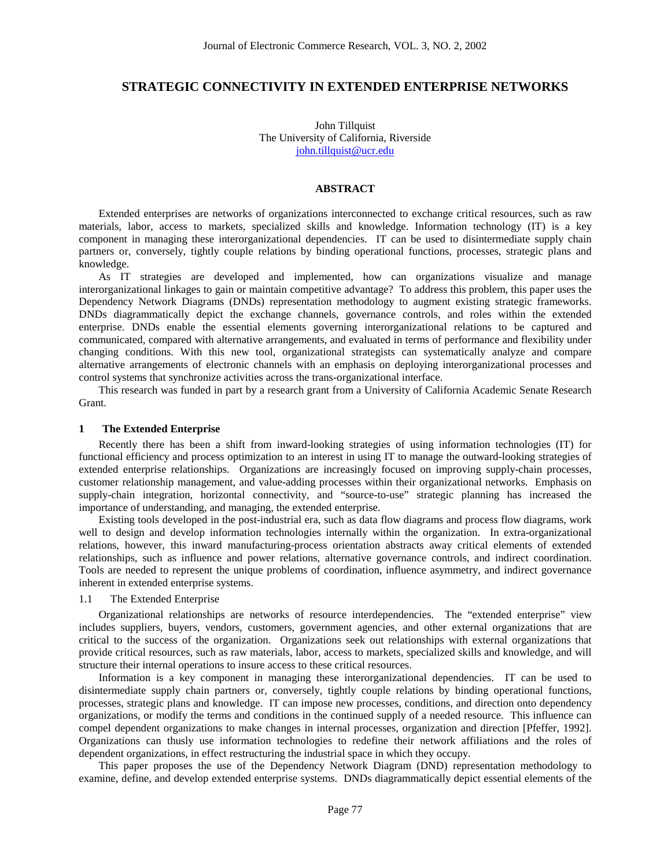# **STRATEGIC CONNECTIVITY IN EXTENDED ENTERPRISE NETWORKS**

John Tillquist The University of California, Riverside [john.tillquist@ucr.edu](mailto:john.tillquist@ucr.edu)

## **ABSTRACT**

Extended enterprises are networks of organizations interconnected to exchange critical resources, such as raw materials, labor, access to markets, specialized skills and knowledge. Information technology (IT) is a key component in managing these interorganizational dependencies. IT can be used to disintermediate supply chain partners or, conversely, tightly couple relations by binding operational functions, processes, strategic plans and knowledge.

As IT strategies are developed and implemented, how can organizations visualize and manage interorganizational linkages to gain or maintain competitive advantage? To address this problem, this paper uses the Dependency Network Diagrams (DNDs) representation methodology to augment existing strategic frameworks. DNDs diagrammatically depict the exchange channels, governance controls, and roles within the extended enterprise. DNDs enable the essential elements governing interorganizational relations to be captured and communicated, compared with alternative arrangements, and evaluated in terms of performance and flexibility under changing conditions. With this new tool, organizational strategists can systematically analyze and compare alternative arrangements of electronic channels with an emphasis on deploying interorganizational processes and control systems that synchronize activities across the trans-organizational interface.

This research was funded in part by a research grant from a University of California Academic Senate Research Grant.

### **1 The Extended Enterprise**

Recently there has been a shift from inward-looking strategies of using information technologies (IT) for functional efficiency and process optimization to an interest in using IT to manage the outward-looking strategies of extended enterprise relationships. Organizations are increasingly focused on improving supply-chain processes, customer relationship management, and value-adding processes within their organizational networks. Emphasis on supply-chain integration, horizontal connectivity, and "source-to-use" strategic planning has increased the importance of understanding, and managing, the extended enterprise.

Existing tools developed in the post-industrial era, such as data flow diagrams and process flow diagrams, work well to design and develop information technologies internally within the organization. In extra-organizational relations, however, this inward manufacturing-process orientation abstracts away critical elements of extended relationships, such as influence and power relations, alternative governance controls, and indirect coordination. Tools are needed to represent the unique problems of coordination, influence asymmetry, and indirect governance inherent in extended enterprise systems.

## 1.1 The Extended Enterprise

Organizational relationships are networks of resource interdependencies. The "extended enterprise" view includes suppliers, buyers, vendors, customers, government agencies, and other external organizations that are critical to the success of the organization. Organizations seek out relationships with external organizations that provide critical resources, such as raw materials, labor, access to markets, specialized skills and knowledge, and will structure their internal operations to insure access to these critical resources.

Information is a key component in managing these interorganizational dependencies. IT can be used to disintermediate supply chain partners or, conversely, tightly couple relations by binding operational functions, processes, strategic plans and knowledge. IT can impose new processes, conditions, and direction onto dependency organizations, or modify the terms and conditions in the continued supply of a needed resource. This influence can compel dependent organizations to make changes in internal processes, organization and direction [Pfeffer, 1992]. Organizations can thusly use information technologies to redefine their network affiliations and the roles of dependent organizations, in effect restructuring the industrial space in which they occupy.

This paper proposes the use of the Dependency Network Diagram (DND) representation methodology to examine, define, and develop extended enterprise systems. DNDs diagrammatically depict essential elements of the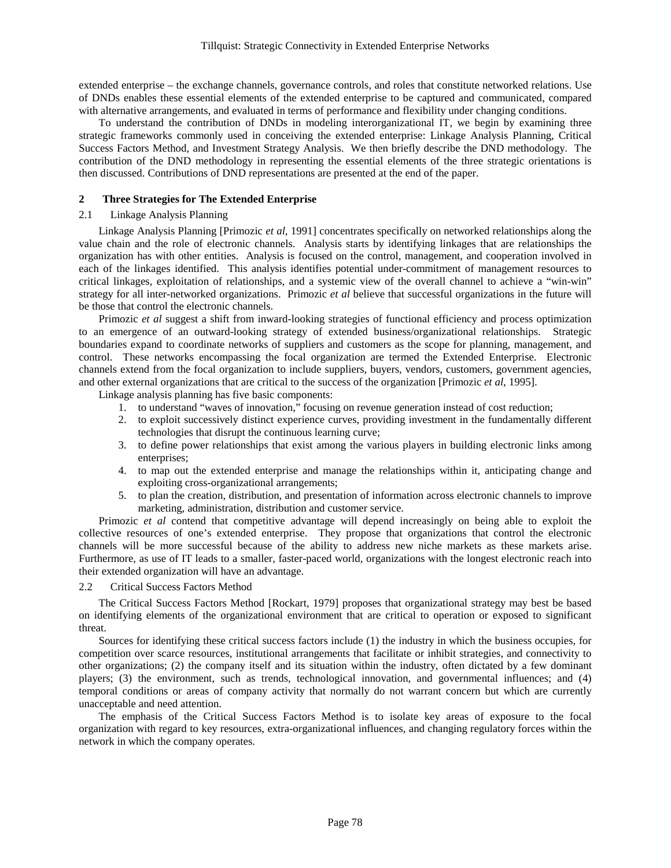extended enterprise – the exchange channels, governance controls, and roles that constitute networked relations. Use of DNDs enables these essential elements of the extended enterprise to be captured and communicated, compared with alternative arrangements, and evaluated in terms of performance and flexibility under changing conditions.

To understand the contribution of DNDs in modeling interorganizational IT, we begin by examining three strategic frameworks commonly used in conceiving the extended enterprise: Linkage Analysis Planning, Critical Success Factors Method, and Investment Strategy Analysis. We then briefly describe the DND methodology. The contribution of the DND methodology in representing the essential elements of the three strategic orientations is then discussed. Contributions of DND representations are presented at the end of the paper.

### **2 Three Strategies for The Extended Enterprise**

### 2.1 Linkage Analysis Planning

Linkage Analysis Planning [Primozic *et al*, 1991] concentrates specifically on networked relationships along the value chain and the role of electronic channels. Analysis starts by identifying linkages that are relationships the organization has with other entities. Analysis is focused on the control, management, and cooperation involved in each of the linkages identified. This analysis identifies potential under-commitment of management resources to critical linkages, exploitation of relationships, and a systemic view of the overall channel to achieve a "win-win" strategy for all inter-networked organizations. Primozic *et al* believe that successful organizations in the future will be those that control the electronic channels.

Primozic *et al* suggest a shift from inward-looking strategies of functional efficiency and process optimization to an emergence of an outward-looking strategy of extended business/organizational relationships. Strategic boundaries expand to coordinate networks of suppliers and customers as the scope for planning, management, and control. These networks encompassing the focal organization are termed the Extended Enterprise. Electronic channels extend from the focal organization to include suppliers, buyers, vendors, customers, government agencies, and other external organizations that are critical to the success of the organization [Primozic *et al*, 1995].

Linkage analysis planning has five basic components:

- 1. to understand "waves of innovation," focusing on revenue generation instead of cost reduction;
- 2. to exploit successively distinct experience curves, providing investment in the fundamentally different technologies that disrupt the continuous learning curve;
- 3. to define power relationships that exist among the various players in building electronic links among enterprises;
- 4. to map out the extended enterprise and manage the relationships within it, anticipating change and exploiting cross-organizational arrangements;
- 5. to plan the creation, distribution, and presentation of information across electronic channels to improve marketing, administration, distribution and customer service.

Primozic *et al* contend that competitive advantage will depend increasingly on being able to exploit the collective resources of one's extended enterprise. They propose that organizations that control the electronic channels will be more successful because of the ability to address new niche markets as these markets arise. Furthermore, as use of IT leads to a smaller, faster-paced world, organizations with the longest electronic reach into their extended organization will have an advantage.

### 2.2 Critical Success Factors Method

The Critical Success Factors Method [Rockart, 1979] proposes that organizational strategy may best be based on identifying elements of the organizational environment that are critical to operation or exposed to significant threat.

Sources for identifying these critical success factors include (1) the industry in which the business occupies, for competition over scarce resources, institutional arrangements that facilitate or inhibit strategies, and connectivity to other organizations; (2) the company itself and its situation within the industry, often dictated by a few dominant players; (3) the environment, such as trends, technological innovation, and governmental influences; and (4) temporal conditions or areas of company activity that normally do not warrant concern but which are currently unacceptable and need attention.

The emphasis of the Critical Success Factors Method is to isolate key areas of exposure to the focal organization with regard to key resources, extra-organizational influences, and changing regulatory forces within the network in which the company operates.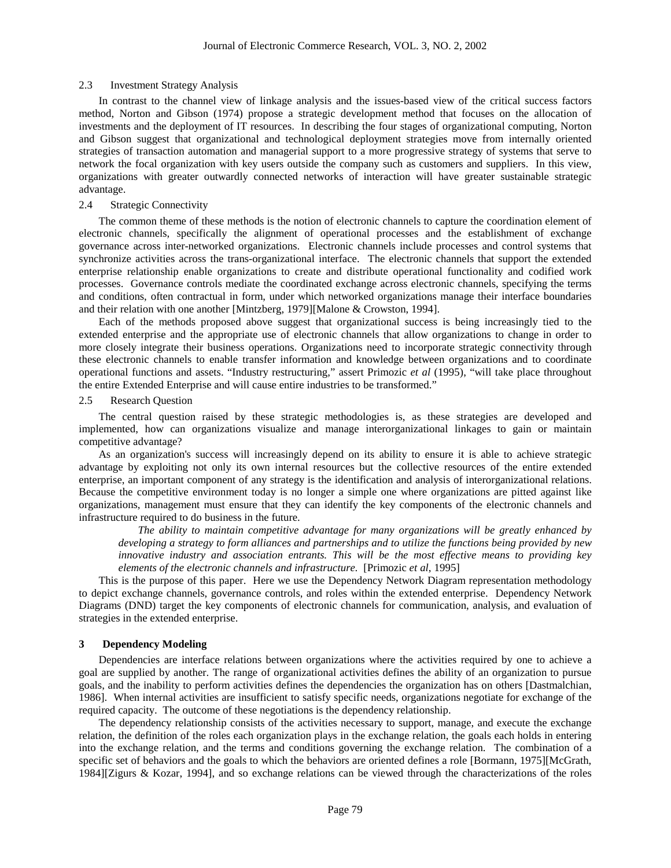#### 2.3 Investment Strategy Analysis

In contrast to the channel view of linkage analysis and the issues-based view of the critical success factors method, Norton and Gibson (1974) propose a strategic development method that focuses on the allocation of investments and the deployment of IT resources. In describing the four stages of organizational computing, Norton and Gibson suggest that organizational and technological deployment strategies move from internally oriented strategies of transaction automation and managerial support to a more progressive strategy of systems that serve to network the focal organization with key users outside the company such as customers and suppliers. In this view, organizations with greater outwardly connected networks of interaction will have greater sustainable strategic advantage.

## 2.4 Strategic Connectivity

The common theme of these methods is the notion of electronic channels to capture the coordination element of electronic channels, specifically the alignment of operational processes and the establishment of exchange governance across inter-networked organizations. Electronic channels include processes and control systems that synchronize activities across the trans-organizational interface. The electronic channels that support the extended enterprise relationship enable organizations to create and distribute operational functionality and codified work processes. Governance controls mediate the coordinated exchange across electronic channels, specifying the terms and conditions, often contractual in form, under which networked organizations manage their interface boundaries and their relation with one another [Mintzberg, 1979][Malone & Crowston, 1994].

Each of the methods proposed above suggest that organizational success is being increasingly tied to the extended enterprise and the appropriate use of electronic channels that allow organizations to change in order to more closely integrate their business operations. Organizations need to incorporate strategic connectivity through these electronic channels to enable transfer information and knowledge between organizations and to coordinate operational functions and assets. "Industry restructuring," assert Primozic *et al* (1995), "will take place throughout the entire Extended Enterprise and will cause entire industries to be transformed."

#### 2.5 Research Question

The central question raised by these strategic methodologies is, as these strategies are developed and implemented, how can organizations visualize and manage interorganizational linkages to gain or maintain competitive advantage?

As an organization's success will increasingly depend on its ability to ensure it is able to achieve strategic advantage by exploiting not only its own internal resources but the collective resources of the entire extended enterprise, an important component of any strategy is the identification and analysis of interorganizational relations. Because the competitive environment today is no longer a simple one where organizations are pitted against like organizations, management must ensure that they can identify the key components of the electronic channels and infrastructure required to do business in the future.

*The ability to maintain competitive advantage for many organizations will be greatly enhanced by developing a strategy to form alliances and partnerships and to utilize the functions being provided by new innovative industry and association entrants. This will be the most effective means to providing key elements of the electronic channels and infrastructure.* [Primozic *et al*, 1995]

This is the purpose of this paper. Here we use the Dependency Network Diagram representation methodology to depict exchange channels, governance controls, and roles within the extended enterprise. Dependency Network Diagrams (DND) target the key components of electronic channels for communication, analysis, and evaluation of strategies in the extended enterprise.

## **3 Dependency Modeling**

Dependencies are interface relations between organizations where the activities required by one to achieve a goal are supplied by another. The range of organizational activities defines the ability of an organization to pursue goals, and the inability to perform activities defines the dependencies the organization has on others [Dastmalchian, 1986]. When internal activities are insufficient to satisfy specific needs, organizations negotiate for exchange of the required capacity. The outcome of these negotiations is the dependency relationship.

The dependency relationship consists of the activities necessary to support, manage, and execute the exchange relation, the definition of the roles each organization plays in the exchange relation, the goals each holds in entering into the exchange relation, and the terms and conditions governing the exchange relation. The combination of a specific set of behaviors and the goals to which the behaviors are oriented defines a role [Bormann, 1975][McGrath, 1984][Zigurs & Kozar, 1994], and so exchange relations can be viewed through the characterizations of the roles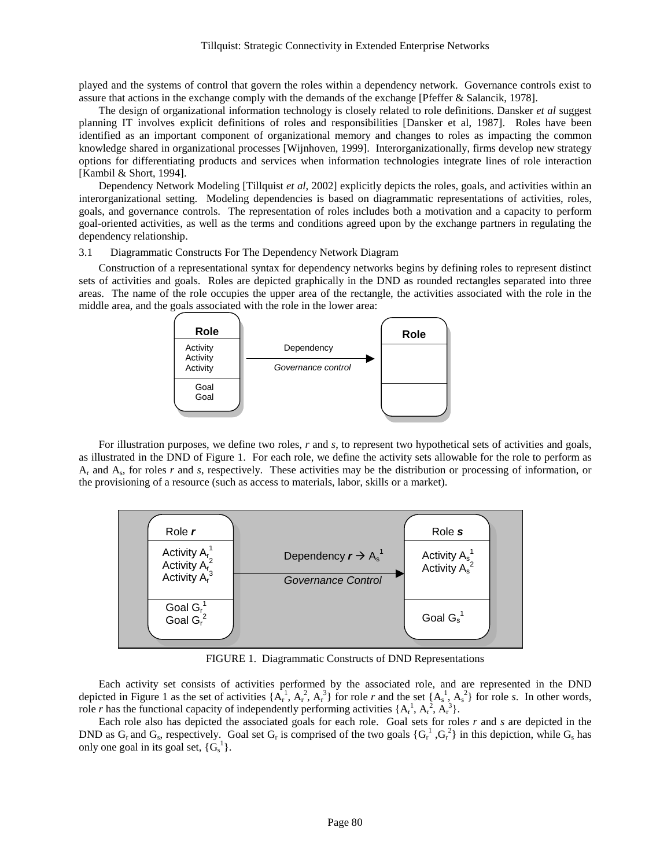played and the systems of control that govern the roles within a dependency network. Governance controls exist to assure that actions in the exchange comply with the demands of the exchange [Pfeffer & Salancik, 1978].

The design of organizational information technology is closely related to role definitions. Dansker *et al* suggest planning IT involves explicit definitions of roles and responsibilities [Dansker et al, 1987]. Roles have been identified as an important component of organizational memory and changes to roles as impacting the common knowledge shared in organizational processes [Wijnhoven, 1999]. Interorganizationally, firms develop new strategy options for differentiating products and services when information technologies integrate lines of role interaction [Kambil & Short, 1994].

Dependency Network Modeling [Tillquist *et al*, 2002] explicitly depicts the roles, goals, and activities within an interorganizational setting. Modeling dependencies is based on diagrammatic representations of activities, roles, goals, and governance controls. The representation of roles includes both a motivation and a capacity to perform goal-oriented activities, as well as the terms and conditions agreed upon by the exchange partners in regulating the dependency relationship.

3.1 Diagrammatic Constructs For The Dependency Network Diagram

Construction of a representational syntax for dependency networks begins by defining roles to represent distinct sets of activities and goals. Roles are depicted graphically in the DND as rounded rectangles separated into three areas. The name of the role occupies the upper area of the rectangle, the activities associated with the role in the middle area, and the goals associated with the role in the lower area:



For illustration purposes, we define two roles, *r* and *s*, to represent two hypothetical sets of activities and goals, as illustrated in the DND of Figure 1. For each role, we define the activity sets allowable for the role to perform as Ar and As, for roles *r* and *s*, respectively. These activities may be the distribution or processing of information, or the provisioning of a resource (such as access to materials, labor, skills or a market).



FIGURE 1. Diagrammatic Constructs of DND Representations

Each activity set consists of activities performed by the associated role, and are represented in the DND depicted in Figure 1 as the set of activities  $\{A_r^1, A_r^2, A_r^3\}$  for role *r* and the set  $\{A_s^1, A_s^2\}$  for role *s*. In other words, role *r* has the functional capacity of independently performing activities  $\{A_r^1, A_r^2, A_r^3\}$ .

Each role also has depicted the associated goals for each role. Goal sets for roles *r* and *s* are depicted in the DND as  $G_r$  and  $G_s$ , respectively. Goal set  $G_r$  is comprised of the two goals  $\{G_r^1, G_r^2\}$  in this depiction, while  $G_s$  has only one goal in its goal set,  $\{G_s^1\}$ .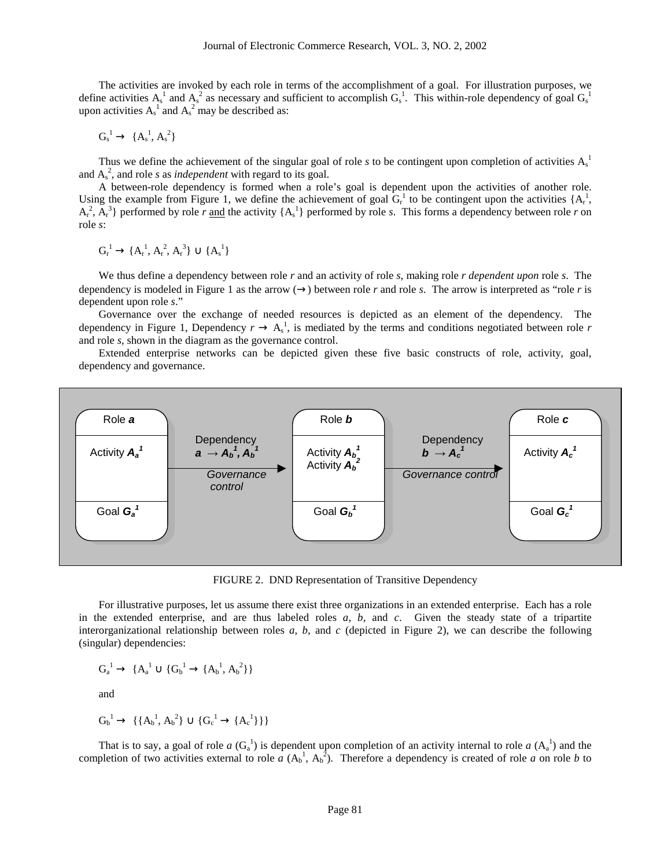The activities are invoked by each role in terms of the accomplishment of a goal. For illustration purposes, we define activities  $A_s^1$  and  $A_s^2$  as necessary and sufficient to accomplish  $G_s^1$ . This within-role dependency of goal  $G_s^1$ upon activities  $A_s^1$  and  $A_s^2$  may be described as:

$$
G_s^1\rightarrow\, \{A_s^1,A_s^2\}
$$

Thus we define the achievement of the singular goal of role  $s$  to be contingent upon completion of activities  $A_s^{\dagger}$ and  $A_s^2$ , and role *s* as *independent* with regard to its goal.

A between-role dependency is formed when a role's goal is dependent upon the activities of another role. Using the example from Figure 1, we define the achievement of goal Gr 1 to be contingent upon the activities {Ar 1 ,  $A_r^2$ ,  $A_r^3$ } performed by role *r* and the activity  $\{A_s^1\}$  performed by role *s*. This forms a dependency between role *r* on role *s*:

$$
G_r^{\ 1} \to \{A_r^{\ 1},\,A_r^{\ 2},\,A_r^{\ 3}\} \cup \{A_s^{\ 1}\}
$$

We thus define a dependency between role *r* and an activity of role *s*, making role *r dependent upon* role *s*. The dependency is modeled in Figure 1 as the arrow  $(\rightarrow)$  between role *r* and role *s*. The arrow is interpreted as "role *r* is dependent upon role *s*."

Governance over the exchange of needed resources is depicted as an element of the dependency. The dependency in Figure 1, Dependency  $r \to A_s^1$ , is mediated by the terms and conditions negotiated between role r and role *s*, shown in the diagram as the governance control.

Extended enterprise networks can be depicted given these five basic constructs of role, activity, goal, dependency and governance.



FIGURE 2. DND Representation of Transitive Dependency

For illustrative purposes, let us assume there exist three organizations in an extended enterprise. Each has a role in the extended enterprise, and are thus labeled roles *a*, *b*, and *c*. Given the steady state of a tripartite interorganizational relationship between roles *a*, *b*, and *c* (depicted in Figure 2), we can describe the following (singular) dependencies:

$$
G_a^{\phantom{a}1}\to\ \{A_a^{\phantom{a}1}\cup\{G_b^{\phantom{a}1}\to\{A_b^{\phantom{a}1},A_b^{\phantom{a}2}\}\}
$$

and

$$
G_b^{\ 1} \to \ \{ \{A_b^{\ 1},A_b^{\ 2}\} \cup \{G_c^{\ 1} \to \{A_c^{\ 1}\}\} \}
$$

That is to say, a goal of role  $a(G_a^1)$  is dependent upon completion of an activity internal to role  $a(G_a^1)$  and the completion of two activities external to role  $a(A_b^1, A_b^2)$ . Therefore a dependency is created of role *a* on role *b* to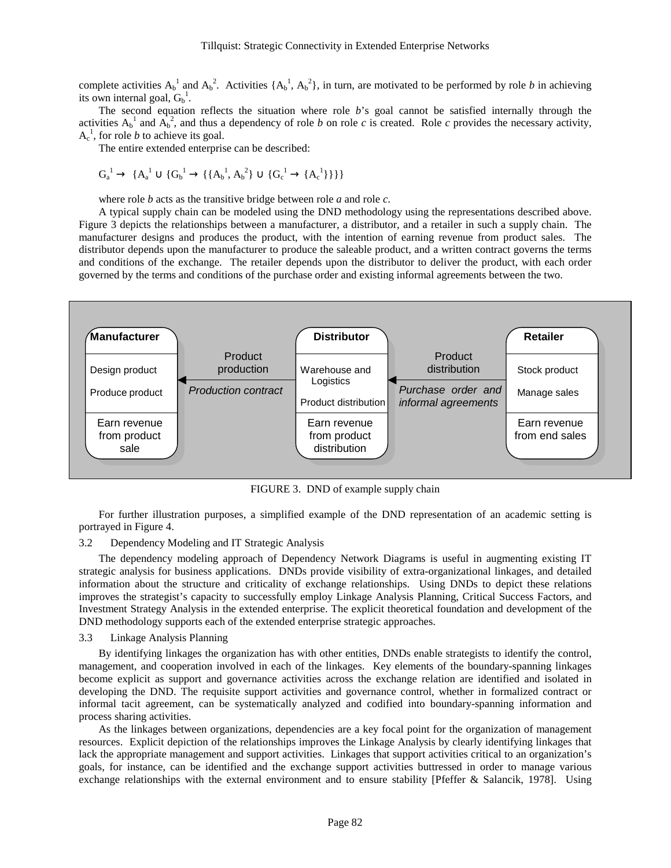complete activities  $A_b^{\dagger}$  and  $A_b^{\dagger}$ . Activities  $\{A_b^{\dagger}, A_b^{\dagger}\}$ , in turn, are motivated to be performed by role *b* in achieving its own internal goal,  $G_b^1$ .

The second equation reflects the situation where role *b*'s goal cannot be satisfied internally through the activities  $A_b^1$  and  $A_b^2$ , and thus a dependency of role *b* on role *c* is created. Role *c* provides the necessary activity,  $A_c^1$ , for role *b* to achieve its goal.

The entire extended enterprise can be described:

$$
G_a^{\ 1} \rightarrow \ \{A_a^{\ 1} \cup \{G_b^{\ 1} \rightarrow \{\{A_b^{\ 1},A_b^{\ 2}\}\cup \{G_c^{\ 1} \rightarrow \{A_c^{\ 1}\}\}\}\}
$$

where role *b* acts as the transitive bridge between role *a* and role *c*.

A typical supply chain can be modeled using the DND methodology using the representations described above. Figure 3 depicts the relationships between a manufacturer, a distributor, and a retailer in such a supply chain. The manufacturer designs and produces the product, with the intention of earning revenue from product sales. The distributor depends upon the manufacturer to produce the saleable product, and a written contract governs the terms and conditions of the exchange. The retailer depends upon the distributor to deliver the product, with each order governed by the terms and conditions of the purchase order and existing informal agreements between the two.



FIGURE 3. DND of example supply chain

For further illustration purposes, a simplified example of the DND representation of an academic setting is portrayed in Figure 4.

#### 3.2 Dependency Modeling and IT Strategic Analysis

The dependency modeling approach of Dependency Network Diagrams is useful in augmenting existing IT strategic analysis for business applications. DNDs provide visibility of extra-organizational linkages, and detailed information about the structure and criticality of exchange relationships. Using DNDs to depict these relations improves the strategist's capacity to successfully employ Linkage Analysis Planning, Critical Success Factors, and Investment Strategy Analysis in the extended enterprise. The explicit theoretical foundation and development of the DND methodology supports each of the extended enterprise strategic approaches.

### 3.3 Linkage Analysis Planning

By identifying linkages the organization has with other entities, DNDs enable strategists to identify the control, management, and cooperation involved in each of the linkages. Key elements of the boundary-spanning linkages become explicit as support and governance activities across the exchange relation are identified and isolated in developing the DND. The requisite support activities and governance control, whether in formalized contract or informal tacit agreement, can be systematically analyzed and codified into boundary-spanning information and process sharing activities.

As the linkages between organizations, dependencies are a key focal point for the organization of management resources. Explicit depiction of the relationships improves the Linkage Analysis by clearly identifying linkages that lack the appropriate management and support activities. Linkages that support activities critical to an organization's goals, for instance, can be identified and the exchange support activities buttressed in order to manage various exchange relationships with the external environment and to ensure stability [Pfeffer & Salancik, 1978]. Using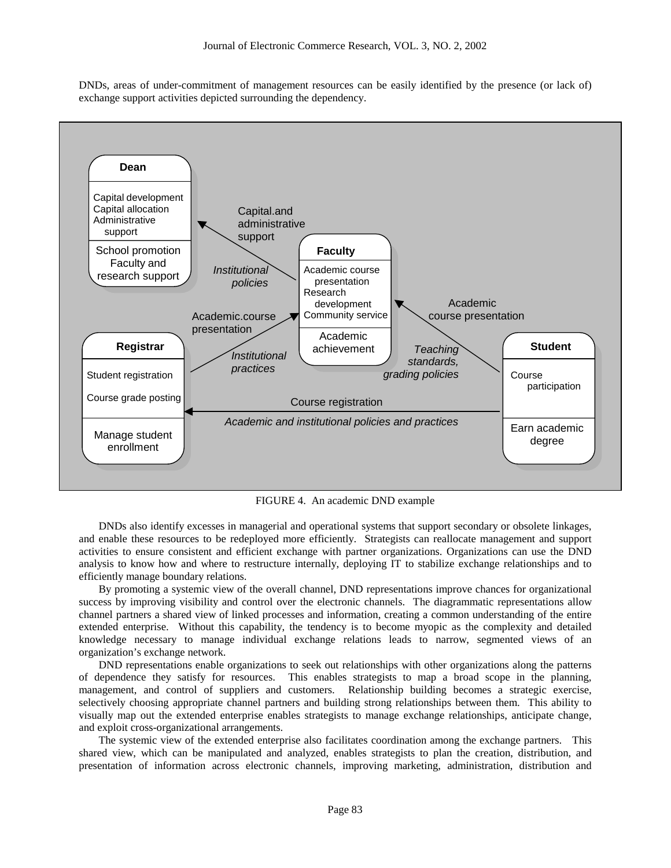DNDs, areas of under-commitment of management resources can be easily identified by the presence (or lack of) exchange support activities depicted surrounding the dependency.



FIGURE 4. An academic DND example

DNDs also identify excesses in managerial and operational systems that support secondary or obsolete linkages, and enable these resources to be redeployed more efficiently. Strategists can reallocate management and support activities to ensure consistent and efficient exchange with partner organizations. Organizations can use the DND analysis to know how and where to restructure internally, deploying IT to stabilize exchange relationships and to efficiently manage boundary relations.

By promoting a systemic view of the overall channel, DND representations improve chances for organizational success by improving visibility and control over the electronic channels. The diagrammatic representations allow channel partners a shared view of linked processes and information, creating a common understanding of the entire extended enterprise. Without this capability, the tendency is to become myopic as the complexity and detailed knowledge necessary to manage individual exchange relations leads to narrow, segmented views of an organization's exchange network.

DND representations enable organizations to seek out relationships with other organizations along the patterns of dependence they satisfy for resources. This enables strategists to map a broad scope in the planning, management, and control of suppliers and customers. Relationship building becomes a strategic exercise, selectively choosing appropriate channel partners and building strong relationships between them. This ability to visually map out the extended enterprise enables strategists to manage exchange relationships, anticipate change, and exploit cross-organizational arrangements.

The systemic view of the extended enterprise also facilitates coordination among the exchange partners. This shared view, which can be manipulated and analyzed, enables strategists to plan the creation, distribution, and presentation of information across electronic channels, improving marketing, administration, distribution and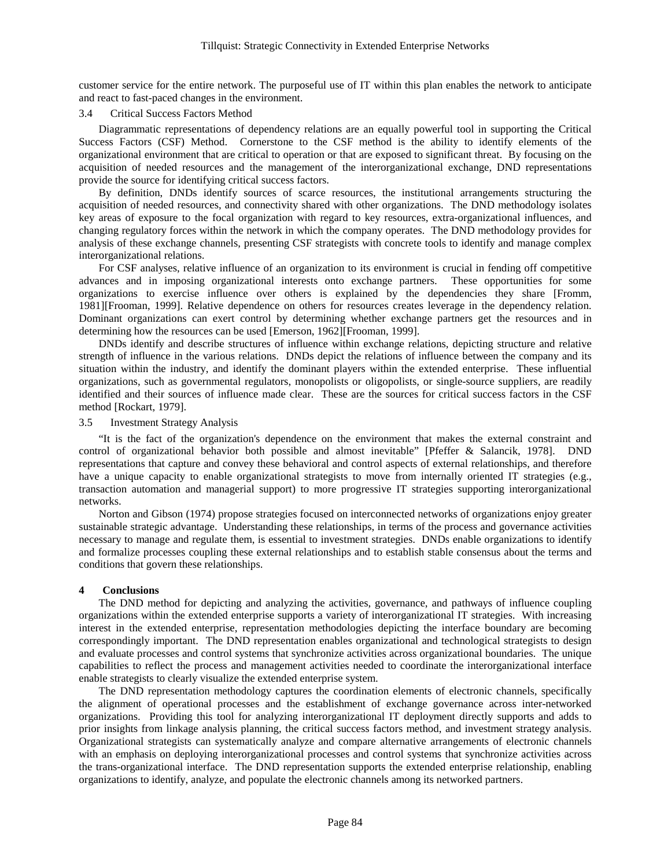customer service for the entire network. The purposeful use of IT within this plan enables the network to anticipate and react to fast-paced changes in the environment.

### 3.4 Critical Success Factors Method

Diagrammatic representations of dependency relations are an equally powerful tool in supporting the Critical Success Factors (CSF) Method. Cornerstone to the CSF method is the ability to identify elements of the organizational environment that are critical to operation or that are exposed to significant threat. By focusing on the acquisition of needed resources and the management of the interorganizational exchange, DND representations provide the source for identifying critical success factors.

By definition, DNDs identify sources of scarce resources, the institutional arrangements structuring the acquisition of needed resources, and connectivity shared with other organizations. The DND methodology isolates key areas of exposure to the focal organization with regard to key resources, extra-organizational influences, and changing regulatory forces within the network in which the company operates. The DND methodology provides for analysis of these exchange channels, presenting CSF strategists with concrete tools to identify and manage complex interorganizational relations.

For CSF analyses, relative influence of an organization to its environment is crucial in fending off competitive advances and in imposing organizational interests onto exchange partners. These opportunities for some organizations to exercise influence over others is explained by the dependencies they share [Fromm, 1981][Frooman, 1999]. Relative dependence on others for resources creates leverage in the dependency relation. Dominant organizations can exert control by determining whether exchange partners get the resources and in determining how the resources can be used [Emerson, 1962][Frooman, 1999].

DNDs identify and describe structures of influence within exchange relations, depicting structure and relative strength of influence in the various relations. DNDs depict the relations of influence between the company and its situation within the industry, and identify the dominant players within the extended enterprise. These influential organizations, such as governmental regulators, monopolists or oligopolists, or single-source suppliers, are readily identified and their sources of influence made clear. These are the sources for critical success factors in the CSF method [Rockart, 1979].

3.5 Investment Strategy Analysis

"It is the fact of the organization's dependence on the environment that makes the external constraint and control of organizational behavior both possible and almost inevitable" [Pfeffer & Salancik, 1978]. DND representations that capture and convey these behavioral and control aspects of external relationships, and therefore have a unique capacity to enable organizational strategists to move from internally oriented IT strategies (e.g., transaction automation and managerial support) to more progressive IT strategies supporting interorganizational networks.

Norton and Gibson (1974) propose strategies focused on interconnected networks of organizations enjoy greater sustainable strategic advantage. Understanding these relationships, in terms of the process and governance activities necessary to manage and regulate them, is essential to investment strategies. DNDs enable organizations to identify and formalize processes coupling these external relationships and to establish stable consensus about the terms and conditions that govern these relationships.

### **4 Conclusions**

The DND method for depicting and analyzing the activities, governance, and pathways of influence coupling organizations within the extended enterprise supports a variety of interorganizational IT strategies. With increasing interest in the extended enterprise, representation methodologies depicting the interface boundary are becoming correspondingly important. The DND representation enables organizational and technological strategists to design and evaluate processes and control systems that synchronize activities across organizational boundaries. The unique capabilities to reflect the process and management activities needed to coordinate the interorganizational interface enable strategists to clearly visualize the extended enterprise system.

The DND representation methodology captures the coordination elements of electronic channels, specifically the alignment of operational processes and the establishment of exchange governance across inter-networked organizations. Providing this tool for analyzing interorganizational IT deployment directly supports and adds to prior insights from linkage analysis planning, the critical success factors method, and investment strategy analysis. Organizational strategists can systematically analyze and compare alternative arrangements of electronic channels with an emphasis on deploying interorganizational processes and control systems that synchronize activities across the trans-organizational interface. The DND representation supports the extended enterprise relationship, enabling organizations to identify, analyze, and populate the electronic channels among its networked partners.